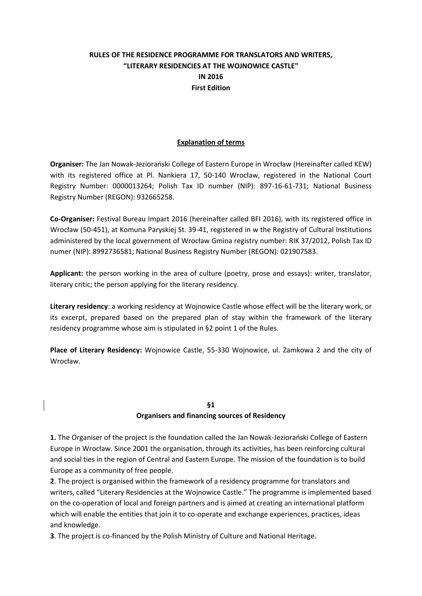## **RULES OF THE RESIDENCE PROGRAMME FOR TRANSLATORS AND WRITERS, "LITERARY RESIDENCIES AT THE WOJNOWICE CASTLE" IN 2016 First Edition**

#### **Explanation of terms**

**Organiser:** The Jan Nowak-Jeziorański College of Eastern Europe in Wrocław (Hereinafter called KEW) with its registered office at Pl. Nankiera 17, 50-140 Wrocław, registered in the National Court Registry Number: 0000013264; Polish Tax ID number (NIP): 897-16-61-731; National Business Registry Number (REGON): 932665258.

**Co-Organiser:** Festival Bureau Impart 2016 (hereinafter called BFI 2016), with its registered office in Wrocław (50-451), at Komuna Paryskiej St. 39-41, registered in w the Registry of Cultural Institutions administered by the local government of Wrocław Gmina registry number: RIK 37/2012, Polish Tax ID numer (NIP): 8992736581; National Business Registry Number (REGON): 021907583.

**Applicant:** the person working in the area of culture (poetry, prose and essays): writer, translator, literary critic; the person applying for the literary residency.

**Literary residency**: a working residency at Wojnowice Castle whose effect will be the literary work, or its excerpt, prepared based on the prepared plan of stay within the framework of the literary residency programme whose aim is stipulated in §2 point 1 of the Rules.

**Place of Literary Residency:** Wojnowice Castle, 55-330 Wojnowice, ul. Zamkowa 2 and the city of Wrocław.

#### **§1**

#### **Organisers and financing sources of Residency**

**1.** The Organiser of the project is the foundation called the Jan Nowak-Jeziorański College of Eastern Europe in Wrocław. Since 2001 the organisation, through its activities, has been reinforcing cultural and social ties in the region of Central and Eastern Europe. The mission of the foundation is to build Europe as a community of free people.

**2**. The project is organised within the framework of a residency programme for translators and writers, called "Literary Residencies at the Wojnowice Castle." The programme is implemented based on the co-operation of local and foreign partners and is aimed at creating an international platform which will enable the entities that join it to co-operate and exchange experiences, practices, ideas and knowledge.

**3**. The project is co-financed by the Polish Ministry of Culture and National Heritage.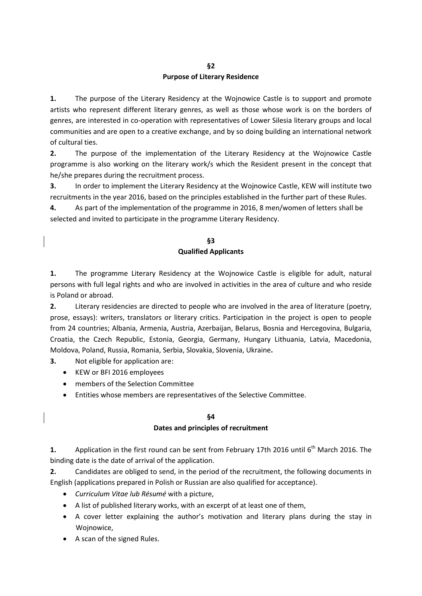### **§2 Purpose of Literary Residence**

**1.** The purpose of the Literary Residency at the Wojnowice Castle is to support and promote artists who represent different literary genres, as well as those whose work is on the borders of genres, are interested in co-operation with representatives of Lower Silesia literary groups and local communities and are open to a creative exchange, and by so doing building an international network of cultural ties.

**2.** The purpose of the implementation of the Literary Residency at the Wojnowice Castle programme is also working on the literary work/s which the Resident present in the concept that he/she prepares during the recruitment process.

**3.** In order to implement the Literary Residency at the Wojnowice Castle, KEW will institute two recruitments in the year 2016, based on the principles established in the further part of these Rules.

**4.** As part of the implementation of the programme in 2016, 8 men/women of letters shall be selected and invited to participate in the programme Literary Residency.

## **§3 Qualified Applicants**

**1.** The programme Literary Residency at the Wojnowice Castle is eligible for adult, natural persons with full legal rights and who are involved in activities in the area of culture and who reside is Poland or abroad.

**2.** Literary residencies are directed to people who are involved in the area of literature (poetry, prose, essays): writers, translators or literary critics. Participation in the project is open to people from 24 countries; Albania, Armenia, Austria, Azerbaijan, Belarus, Bosnia and Hercegovina, Bulgaria, Croatia, the Czech Republic, Estonia, Georgia, Germany, Hungary Lithuania, Latvia, Macedonia, Moldova, Poland, Russia, Romania, Serbia, Slovakia, Slovenia, Ukraine**.**

**3.** Not eligible for application are:

- KEW or BFI 2016 employees
- members of the Selection Committee
- Entities whose members are representatives of the Selective Committee.

#### **§4**

#### **Dates and principles of recruitment**

**1.** Application in the first round can be sent from February 17th 2016 until 6<sup>th</sup> March 2016. The binding date is the date of arrival of the application.

**2.** Candidates are obliged to send, in the period of the recruitment, the following documents in English (applications prepared in Polish or Russian are also qualified for acceptance).

- *Curriculum Vitae lub Résumé* with a picture,
- A list of published literary works, with an excerpt of at least one of them,
- A cover letter explaining the author's motivation and literary plans during the stay in Wojnowice,
- A scan of the signed Rules.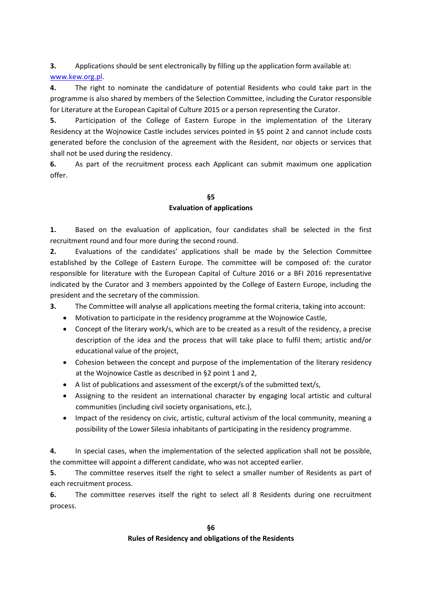**3.** Applications should be sent electronically by filling up the application form available at: [www.kew.org.pl.](http://www.kew.org.pl/)

**4.** The right to nominate the candidature of potential Residents who could take part in the programme is also shared by members of the Selection Committee, including the Curator responsible for Literature at the European Capital of Culture 2015 or a person representing the Curator.

**5.** Participation of the College of Eastern Europe in the implementation of the Literary Residency at the Wojnowice Castle includes services pointed in §5 point 2 and cannot include costs generated before the conclusion of the agreement with the Resident, nor objects or services that shall not be used during the residency.

**6.** As part of the recruitment process each Applicant can submit maximum one application offer.

## **§5 Evaluation of applications**

**1.** Based on the evaluation of application, four candidates shall be selected in the first recruitment round and four more during the second round.

**2.** Evaluations of the candidates' applications shall be made by the Selection Committee established by the College of Eastern Europe. The committee will be composed of: the curator responsible for literature with the European Capital of Culture 2016 or a BFI 2016 representative indicated by the Curator and 3 members appointed by the College of Eastern Europe, including the president and the secretary of the commission.

**3.** The Committee will analyse all applications meeting the formal criteria, taking into account:

- Motivation to participate in the residency programme at the Wojnowice Castle,
- Concept of the literary work/s, which are to be created as a result of the residency, a precise description of the idea and the process that will take place to fulfil them; artistic and/or educational value of the project,
- Cohesion between the concept and purpose of the implementation of the literary residency at the Wojnowice Castle as described in §2 point 1 and 2,
- A list of publications and assessment of the excerpt/s of the submitted text/s,
- Assigning to the resident an international character by engaging local artistic and cultural communities (including civil society organisations, etc.),
- Impact of the residency on civic, artistic, cultural activism of the local community, meaning a possibility of the Lower Silesia inhabitants of participating in the residency programme.

**4.** In special cases, when the implementation of the selected application shall not be possible, the committee will appoint a different candidate, who was not accepted earlier.

**5.** The committee reserves itself the right to select a smaller number of Residents as part of each recruitment process.

**6.** The committee reserves itself the right to select all 8 Residents during one recruitment process.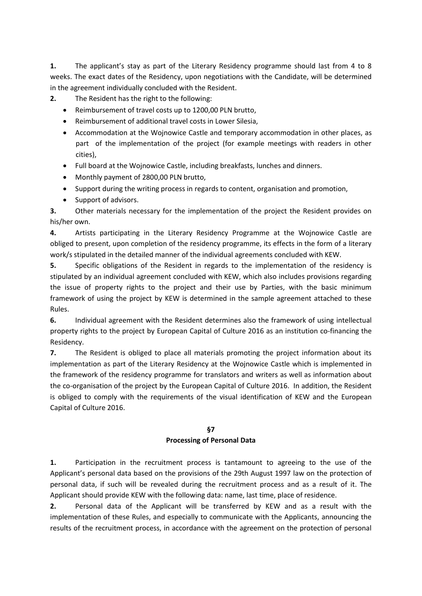**1.** The applicant's stay as part of the Literary Residency programme should last from 4 to 8 weeks. The exact dates of the Residency, upon negotiations with the Candidate, will be determined in the agreement individually concluded with the Resident.

- **2.** The Resident has the right to the following:
	- Reimbursement of travel costs up to 1200,00 PLN brutto,
	- Reimbursement of additional travel costs in Lower Silesia,
	- Accommodation at the Wojnowice Castle and temporary accommodation in other places, as part of the implementation of the project (for example meetings with readers in other cities),
	- Full board at the Wojnowice Castle, including breakfasts, lunches and dinners.
	- Monthly payment of 2800,00 PLN brutto,
	- Support during the writing process in regards to content, organisation and promotion,
	- Support of advisors.

**3.** Other materials necessary for the implementation of the project the Resident provides on his/her own.

**4.** Artists participating in the Literary Residency Programme at the Wojnowice Castle are obliged to present, upon completion of the residency programme, its effects in the form of a literary work/s stipulated in the detailed manner of the individual agreements concluded with KEW.

**5.** Specific obligations of the Resident in regards to the implementation of the residency is stipulated by an individual agreement concluded with KEW, which also includes provisions regarding the issue of property rights to the project and their use by Parties, with the basic minimum framework of using the project by KEW is determined in the sample agreement attached to these Rules.

**6.** Individual agreement with the Resident determines also the framework of using intellectual property rights to the project by European Capital of Culture 2016 as an institution co-financing the Residency.

**7.** The Resident is obliged to place all materials promoting the project information about its implementation as part of the Literary Residency at the Wojnowice Castle which is implemented in the framework of the residency programme for translators and writers as well as information about the co-organisation of the project by the European Capital of Culture 2016. In addition, the Resident is obliged to comply with the requirements of the visual identification of KEW and the European Capital of Culture 2016.

# **§7**

#### **Processing of Personal Data**

**1.** Participation in the recruitment process is tantamount to agreeing to the use of the Applicant's personal data based on the provisions of the 29th August 1997 law on the protection of personal data, if such will be revealed during the recruitment process and as a result of it. The Applicant should provide KEW with the following data: name, last time, place of residence.

**2.** Personal data of the Applicant will be transferred by KEW and as a result with the implementation of these Rules, and especially to communicate with the Applicants, announcing the results of the recruitment process, in accordance with the agreement on the protection of personal